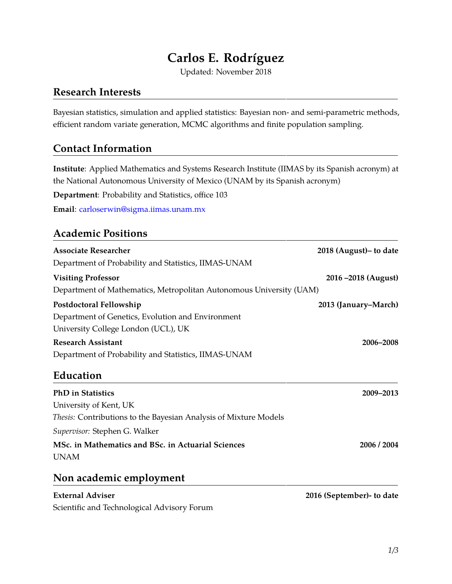# **Carlos E. Rodríguez**

Updated: November 2018

#### **Research Interests**

Bayesian statistics, simulation and applied statistics: Bayesian non- and semi-parametric methods, efficient random variate generation, MCMC algorithms and finite population sampling.

#### **Contact Information**

**Institute**: Applied Mathematics and Systems Research Institute (IIMAS by its Spanish acronym) at the National Autonomous University of Mexico (UNAM by its Spanish acronym)

**Department**: Probability and Statistics, office 103

**Email**: [carloserwin@sigma.iimas.unam.mx](mailto:carloserwin@sigma.iimas.unam.mx)

### **Academic Positions**

| <b>Associate Researcher</b>                                             | 2018 (August) – to date    |
|-------------------------------------------------------------------------|----------------------------|
| Department of Probability and Statistics, IIMAS-UNAM                    |                            |
| <b>Visiting Professor</b>                                               | 2016 -2018 (August)        |
| Department of Mathematics, Metropolitan Autonomous University (UAM)     |                            |
| Postdoctoral Fellowship                                                 | 2013 (January–March)       |
| Department of Genetics, Evolution and Environment                       |                            |
| University College London (UCL), UK                                     |                            |
| <b>Research Assistant</b>                                               | 2006-2008                  |
| Department of Probability and Statistics, IIMAS-UNAM                    |                            |
| Education                                                               |                            |
| <b>PhD</b> in Statistics                                                | 2009-2013                  |
| University of Kent, UK                                                  |                            |
| <i>Thesis:</i> Contributions to the Bayesian Analysis of Mixture Models |                            |
| Supervisor: Stephen G. Walker                                           |                            |
| MSc. in Mathematics and BSc. in Actuarial Sciences                      | 2006 / 2004                |
| <b>UNAM</b>                                                             |                            |
| Non academic employment                                                 |                            |
| <b>External Adviser</b>                                                 | 2016 (September) - to date |

Scientific and Technological Advisory Forum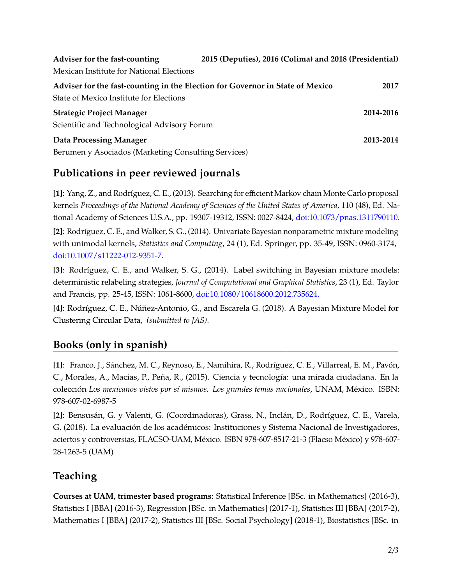| Adviser for the fast-counting                                                 | 2015 (Deputies), 2016 (Colima) and 2018 (Presidential) |           |
|-------------------------------------------------------------------------------|--------------------------------------------------------|-----------|
| Mexican Institute for National Elections                                      |                                                        |           |
| Adviser for the fast-counting in the Election for Governor in State of Mexico |                                                        | 2017      |
| State of Mexico Institute for Elections                                       |                                                        |           |
| <b>Strategic Project Manager</b>                                              |                                                        | 2014-2016 |
| Scientific and Technological Advisory Forum                                   |                                                        |           |
| Data Processing Manager                                                       |                                                        | 2013-2014 |
| Berumen y Asociados (Marketing Consulting Services)                           |                                                        |           |

### **Publications in peer reviewed journals**

**[1]**: Yang, Z., and Rodríguez, C. E., (2013). Searching for efficient Markov chain Monte Carlo proposal kernels *Proceedings of the National Academy of Sciences of the United States of America*, 110 (48), Ed. National Academy of Sciences U.S.A., pp. 19307-19312, ISSN: 0027-8424, [doi:10.1073/pnas.1311790110.](https://doi.org/10.1073/pnas.1311790110)

**[2]**: Rodríguez, C. E., and Walker, S. G., (2014). Univariate Bayesian nonparametric mixture modeling with unimodal kernels, *Statistics and Computing*, 24 (1), Ed. Springer, pp. 35-49, ISSN: 0960-3174, [doi:10.1007/s11222-012-9351-7.](https://doi.org/10.1007/s11222-012-9351-7)

**[3]**: Rodríguez, C. E., and Walker, S. G., (2014). Label switching in Bayesian mixture models: deterministic relabeling strategies, *Journal of Computational and Graphical Statistics*, 23 (1), Ed. Taylor and Francis, pp. 25-45, ISSN: 1061-8600, [doi:10.1080/10618600.2012.735624.](https://doi.org/10.1080/10618600.2012.735624)

**[4]**: Rodríguez, C. E., Núñez-Antonio, G., and Escarela G. (2018). A Bayesian Mixture Model for Clustering Circular Data, *(submitted to JAS)*.

### **Books (only in spanish)**

**[1]**: Franco, J., Sánchez, M. C., Reynoso, E., Namihira, R., Rodríguez, C. E., Villarreal, E. M., Pavón, C., Morales, A., Macias, P., Peña, R., (2015). Ciencia y tecnología: una mirada ciudadana. En la colección *Los mexicanos vistos por sí mismos. Los grandes temas nacionales*, UNAM, México. ISBN: 978-607-02-6987-5

**[2]**: Bensusán, G. y Valenti, G. (Coordinadoras), Grass, N., Inclán, D., Rodríguez, C. E., Varela, G. (2018). La evaluación de los académicos: Instituciones y Sistema Nacional de Investigadores, aciertos y controversias, FLACSO-UAM, México. ISBN 978-607-8517-21-3 (Flacso México) y 978-607- 28-1263-5 (UAM)

### **Teaching**

**Courses at UAM, trimester based programs**: Statistical Inference [BSc. in Mathematics] (2016-3), Statistics I [BBA] (2016-3), Regression [BSc. in Mathematics] (2017-1), Statistics III [BBA] (2017-2), Mathematics I [BBA] (2017-2), Statistics III [BSc. Social Psychology] (2018-1), Biostatistics [BSc. in